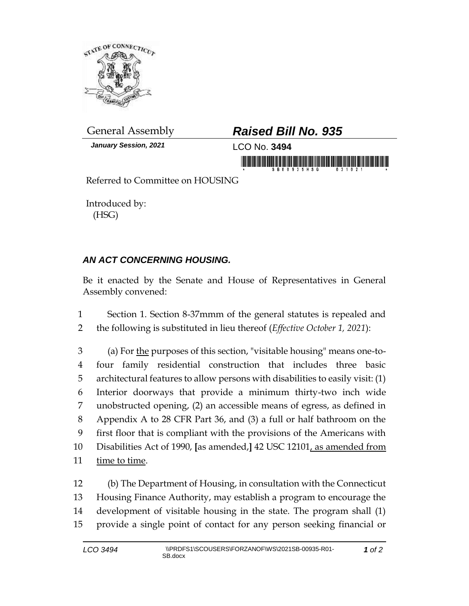

*January Session, 2021* LCO No. **3494**

## General Assembly *Raised Bill No. 935*

in monday is a state of the state of the state of the state of the state of the state of the state of the state of the state of the state of the state of the state of the state of the state of the state of the state of the

Referred to Committee on HOUSING

Introduced by: (HSG)

## *AN ACT CONCERNING HOUSING.*

Be it enacted by the Senate and House of Representatives in General Assembly convened:

1 Section 1. Section 8-37mmm of the general statutes is repealed and 2 the following is substituted in lieu thereof (*Effective October 1, 2021*):

3 (a) For the purposes of this section, "visitable housing" means one-to- four family residential construction that includes three basic architectural features to allow persons with disabilities to easily visit: (1) Interior doorways that provide a minimum thirty-two inch wide unobstructed opening, (2) an accessible means of egress, as defined in Appendix A to 28 CFR Part 36, and (3) a full or half bathroom on the first floor that is compliant with the provisions of the Americans with Disabilities Act of 1990, **[**as amended,**]** 42 USC 12101, as amended from time to time.

 (b) The Department of Housing, in consultation with the Connecticut Housing Finance Authority, may establish a program to encourage the development of visitable housing in the state. The program shall (1) provide a single point of contact for any person seeking financial or